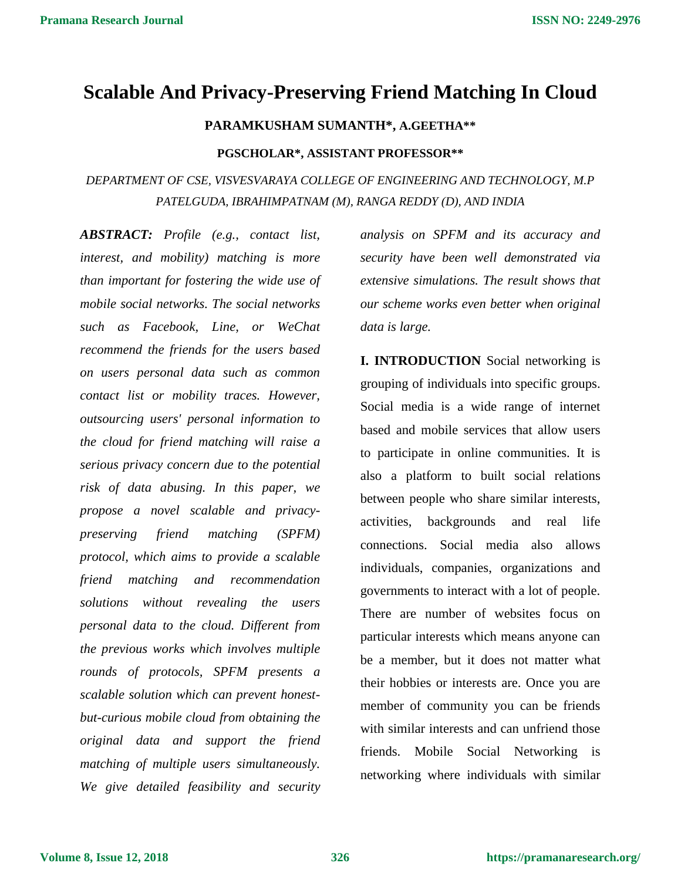# **Scalable And Privacy-Preserving Friend Matching In Cloud**

### **PARAMKUSHAM SUMANTH\*, A.GEETHA\*\***

#### **PGSCHOLAR\*, ASSISTANT PROFESSOR\*\***

*DEPARTMENT OF CSE, VISVESVARAYA COLLEGE OF ENGINEERING AND TECHNOLOGY, M.P PATELGUDA, IBRAHIMPATNAM (M), RANGA REDDY (D), AND INDIA*

*ABSTRACT: Profile (e.g., contact list, interest, and mobility) matching is more than important for fostering the wide use of mobile social networks. The social networks such as Facebook, Line, or WeChat recommend the friends for the users based on users personal data such as common contact list or mobility traces. However, outsourcing users' personal information to the cloud for friend matching will raise a serious privacy concern due to the potential risk of data abusing. In this paper, we propose a novel scalable and privacypreserving friend matching (SPFM) protocol, which aims to provide a scalable friend matching and recommendation solutions without revealing the users personal data to the cloud. Different from the previous works which involves multiple rounds of protocols, SPFM presents a scalable solution which can prevent honestbut-curious mobile cloud from obtaining the original data and support the friend matching of multiple users simultaneously. We give detailed feasibility and security*

*analysis on SPFM and its accuracy and security have been well demonstrated via extensive simulations. The result shows that our scheme works even better when original data is large.*

**I. INTRODUCTION** Social networking is grouping of individuals into specific groups. Social media is a wide range of internet based and mobile services that allow users to participate in online communities. It is also a platform to built social relations between people who share similar interests, activities, backgrounds and real life connections. Social media also allows individuals, companies, organizations and governments to interact with a lot of people. There are number of websites focus on particular interests which means anyone can be a member, but it does not matter what their hobbies or interests are. Once you are member of community you can be friends with similar interests and can unfriend those friends. Mobile Social Networking is networking where individuals with similar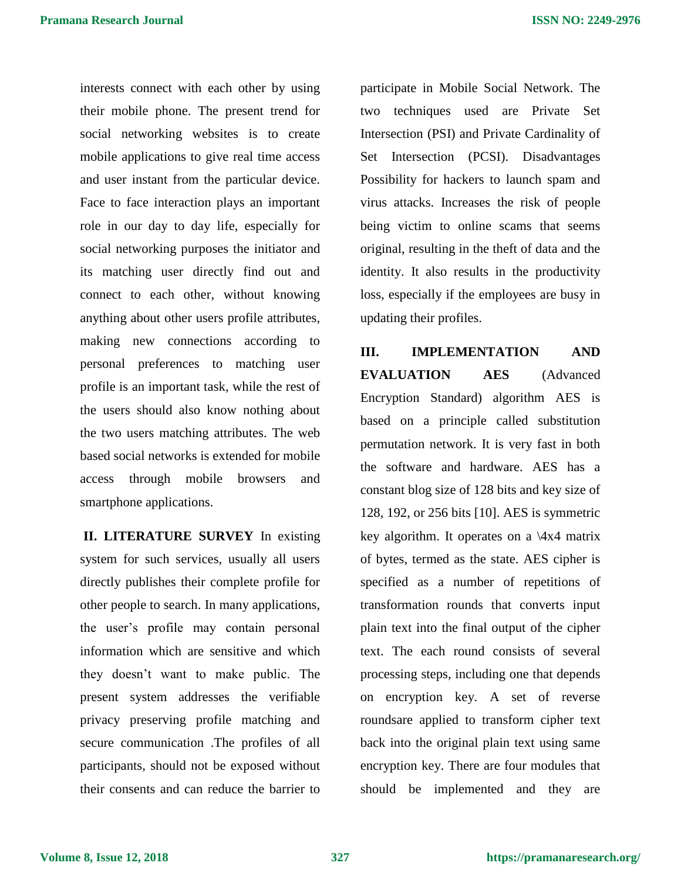interests connect with each other by using their mobile phone. The present trend for social networking websites is to create mobile applications to give real time access and user instant from the particular device. Face to face interaction plays an important role in our day to day life, especially for social networking purposes the initiator and its matching user directly find out and connect to each other, without knowing anything about other users profile attributes, making new connections according to personal preferences to matching user profile is an important task, while the rest of the users should also know nothing about the two users matching attributes. The web based social networks is extended for mobile access through mobile browsers and smartphone applications.

**II. LITERATURE SURVEY** In existing system for such services, usually all users directly publishes their complete profile for other people to search. In many applications, the user's profile may contain personal information which are sensitive and which they doesn't want to make public. The present system addresses the verifiable privacy preserving profile matching and secure communication .The profiles of all participants, should not be exposed without their consents and can reduce the barrier to

participate in Mobile Social Network. The two techniques used are Private Set Intersection (PSI) and Private Cardinality of Set Intersection (PCSI). Disadvantages Possibility for hackers to launch spam and virus attacks. Increases the risk of people being victim to online scams that seems original, resulting in the theft of data and the identity. It also results in the productivity loss, especially if the employees are busy in updating their profiles.

**III. IMPLEMENTATION AND EVALUATION AES** (Advanced Encryption Standard) algorithm AES is based on a principle called substitution permutation network. It is very fast in both the software and hardware. AES has a constant blog size of 128 bits and key size of 128, 192, or 256 bits [10]. AES is symmetric key algorithm. It operates on a  $\langle 4x4 \rangle$  matrix of bytes, termed as the state. AES cipher is specified as a number of repetitions of transformation rounds that converts input plain text into the final output of the cipher text. The each round consists of several processing steps, including one that depends on encryption key. A set of reverse roundsare applied to transform cipher text back into the original plain text using same encryption key. There are four modules that should be implemented and they are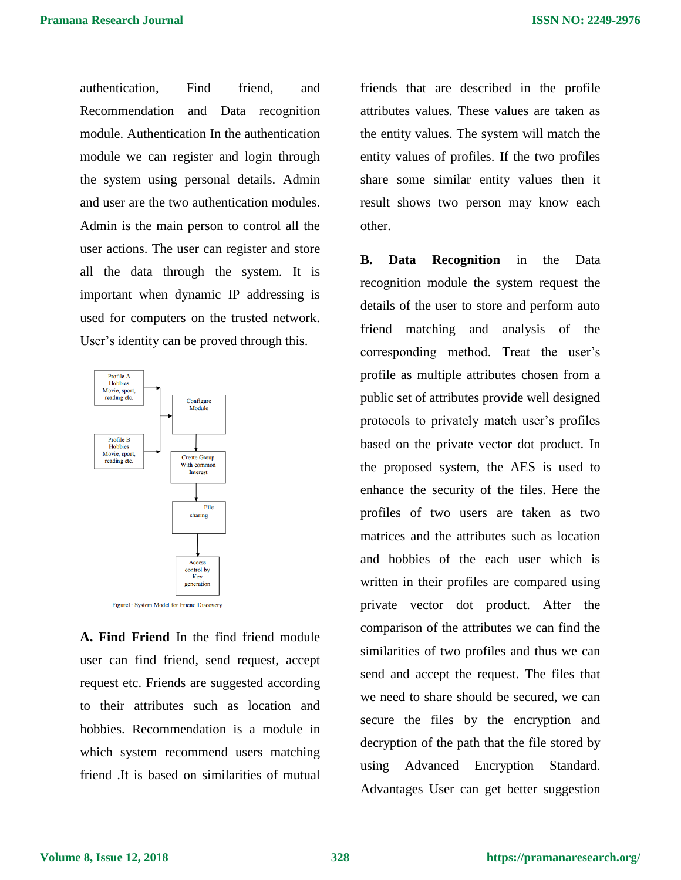authentication, Find friend, and Recommendation and Data recognition module. Authentication In the authentication module we can register and login through the system using personal details. Admin and user are the two authentication modules. Admin is the main person to control all the user actions. The user can register and store all the data through the system. It is important when dynamic IP addressing is used for computers on the trusted network. User's identity can be proved through this.



**A. Find Friend** In the find friend module user can find friend, send request, accept request etc. Friends are suggested according to their attributes such as location and hobbies. Recommendation is a module in which system recommend users matching friend .It is based on similarities of mutual

friends that are described in the profile attributes values. These values are taken as the entity values. The system will match the entity values of profiles. If the two profiles share some similar entity values then it result shows two person may know each other.

**B. Data Recognition** in the Data recognition module the system request the details of the user to store and perform auto friend matching and analysis of the corresponding method. Treat the user's profile as multiple attributes chosen from a public set of attributes provide well designed protocols to privately match user's profiles based on the private vector dot product. In the proposed system, the AES is used to enhance the security of the files. Here the profiles of two users are taken as two matrices and the attributes such as location and hobbies of the each user which is written in their profiles are compared using private vector dot product. After the comparison of the attributes we can find the similarities of two profiles and thus we can send and accept the request. The files that we need to share should be secured, we can secure the files by the encryption and decryption of the path that the file stored by using Advanced Encryption Standard. Advantages User can get better suggestion

**Volume 8, Issue 12, 2018**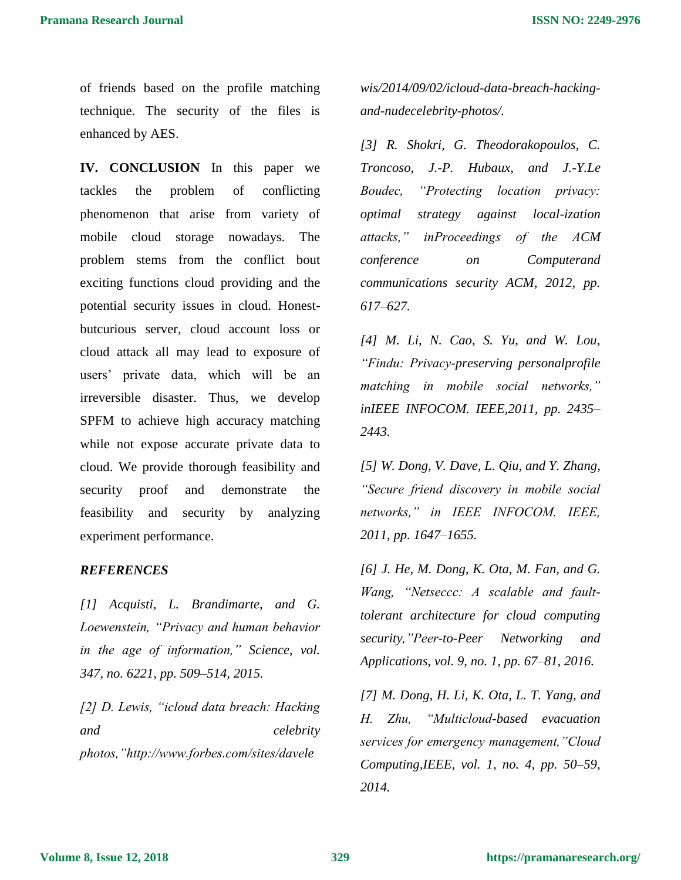of friends based on the profile matching technique. The security of the files is enhanced by AES.

**IV. CONCLUSION** In this paper we tackles the problem of conflicting phenomenon that arise from variety of mobile cloud storage nowadays. The problem stems from the conflict bout exciting functions cloud providing and the potential security issues in cloud. Honestbutcurious server, cloud account loss or cloud attack all may lead to exposure of users' private data, which will be an irreversible disaster. Thus, we develop SPFM to achieve high accuracy matching while not expose accurate private data to cloud. We provide thorough feasibility and security proof and demonstrate the feasibility and security by analyzing experiment performance.

## *REFERENCES*

*[1] Acquisti, L. Brandimarte, and G. Loewenstein, "Privacy and human behavior in the age of information," Science, vol. 347, no. 6221, pp. 509–514, 2015.* 

*[2] D. Lewis, "icloud data breach: Hacking and celebrity photos,"http://www.forbes.com/sites/davele*

*wis/2014/09/02/icloud-data-breach-hackingand-nudecelebrity-photos/.* 

*[3] R. Shokri, G. Theodorakopoulos, C. Troncoso, J.-P. Hubaux, and J.-Y.Le Boudec, "Protecting location privacy: optimal strategy against local-ization attacks," inProceedings of the ACM conference on Computerand communications security ACM, 2012, pp. 617–627.* 

*[4] M. Li, N. Cao, S. Yu, and W. Lou, "Findu: Privacy-preserving personalprofile matching in mobile social networks," inIEEE INFOCOM. IEEE,2011, pp. 2435– 2443.* 

*[5] W. Dong, V. Dave, L. Qiu, and Y. Zhang, "Secure friend discovery in mobile social networks," in IEEE INFOCOM. IEEE, 2011, pp. 1647–1655.* 

*[6] J. He, M. Dong, K. Ota, M. Fan, and G. Wang, "Netseccc: A scalable and faulttolerant architecture for cloud computing security,"Peer-to-Peer Networking and Applications, vol. 9, no. 1, pp. 67–81, 2016.* 

*[7] M. Dong, H. Li, K. Ota, L. T. Yang, and H. Zhu, "Multicloud-based evacuation services for emergency management,"Cloud Computing,IEEE, vol. 1, no. 4, pp. 50–59, 2014.*